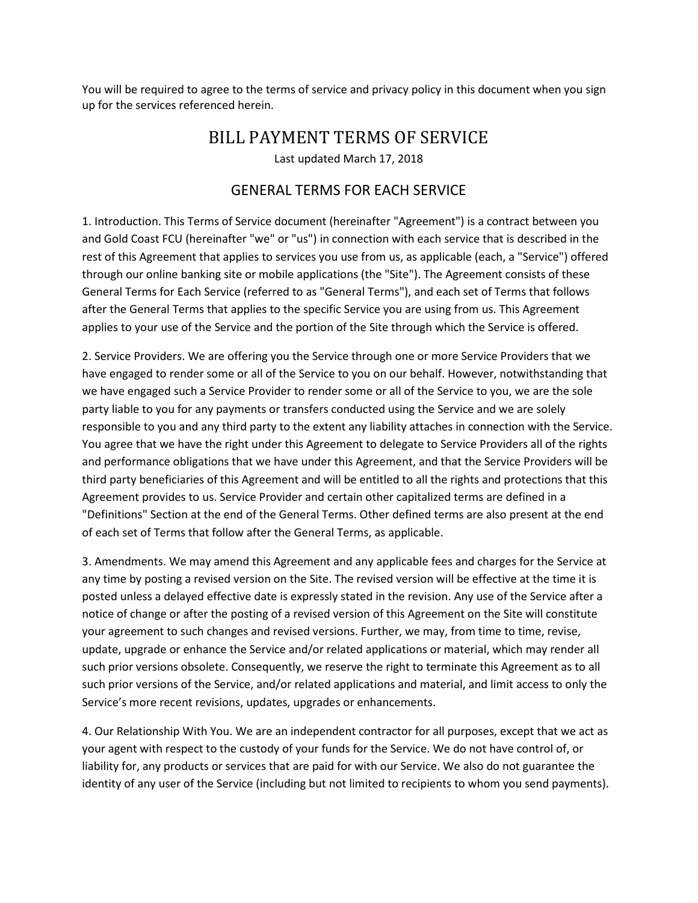You will be required to agree to the terms of service and privacy policy in this document when you sign up for the services referenced herein.

## BILL PAYMENT TERMS OF SERVICE

Last updated March 17, 2018

### GENERAL TERMS FOR EACH SERVICE

1. Introduction. This Terms of Service document (hereinafter "Agreement") is a contract between you and Gold Coast FCU (hereinafter "we" or "us") in connection with each service that is described in the rest of this Agreement that applies to services you use from us, as applicable (each, a "Service") offered through our online banking site or mobile applications (the "Site"). The Agreement consists of these General Terms for Each Service (referred to as "General Terms"), and each set of Terms that follows after the General Terms that applies to the specific Service you are using from us. This Agreement applies to your use of the Service and the portion of the Site through which the Service is offered.

2. Service Providers. We are offering you the Service through one or more Service Providers that we have engaged to render some or all of the Service to you on our behalf. However, notwithstanding that we have engaged such a Service Provider to render some or all of the Service to you, we are the sole party liable to you for any payments or transfers conducted using the Service and we are solely responsible to you and any third party to the extent any liability attaches in connection with the Service. You agree that we have the right under this Agreement to delegate to Service Providers all of the rights and performance obligations that we have under this Agreement, and that the Service Providers will be third party beneficiaries of this Agreement and will be entitled to all the rights and protections that this Agreement provides to us. Service Provider and certain other capitalized terms are defined in a "Definitions" Section at the end of the General Terms. Other defined terms are also present at the end of each set of Terms that follow after the General Terms, as applicable.

3. Amendments. We may amend this Agreement and any applicable fees and charges for the Service at any time by posting a revised version on the Site. The revised version will be effective at the time it is posted unless a delayed effective date is expressly stated in the revision. Any use of the Service after a notice of change or after the posting of a revised version of this Agreement on the Site will constitute your agreement to such changes and revised versions. Further, we may, from time to time, revise, update, upgrade or enhance the Service and/or related applications or material, which may render all such prior versions obsolete. Consequently, we reserve the right to terminate this Agreement as to all such prior versions of the Service, and/or related applications and material, and limit access to only the Service's more recent revisions, updates, upgrades or enhancements.

4. Our Relationship With You. We are an independent contractor for all purposes, except that we act as your agent with respect to the custody of your funds for the Service. We do not have control of, or liability for, any products or services that are paid for with our Service. We also do not guarantee the identity of any user of the Service (including but not limited to recipients to whom you send payments).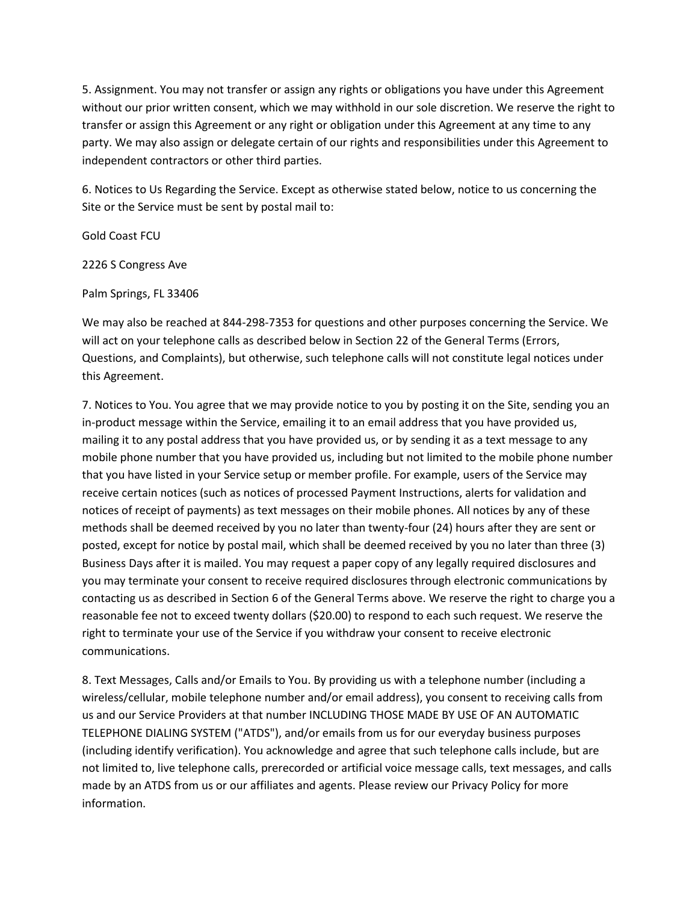5. Assignment. You may not transfer or assign any rights or obligations you have under this Agreement without our prior written consent, which we may withhold in our sole discretion. We reserve the right to transfer or assign this Agreement or any right or obligation under this Agreement at any time to any party. We may also assign or delegate certain of our rights and responsibilities under this Agreement to independent contractors or other third parties.

6. Notices to Us Regarding the Service. Except as otherwise stated below, notice to us concerning the Site or the Service must be sent by postal mail to:

Gold Coast FCU

2226 S Congress Ave

Palm Springs, FL 33406

We may also be reached at 844-298-7353 for questions and other purposes concerning the Service. We will act on your telephone calls as described below in Section 22 of the General Terms (Errors, Questions, and Complaints), but otherwise, such telephone calls will not constitute legal notices under this Agreement.

7. Notices to You. You agree that we may provide notice to you by posting it on the Site, sending you an in-product message within the Service, emailing it to an email address that you have provided us, mailing it to any postal address that you have provided us, or by sending it as a text message to any mobile phone number that you have provided us, including but not limited to the mobile phone number that you have listed in your Service setup or member profile. For example, users of the Service may receive certain notices (such as notices of processed Payment Instructions, alerts for validation and notices of receipt of payments) as text messages on their mobile phones. All notices by any of these methods shall be deemed received by you no later than twenty-four (24) hours after they are sent or posted, except for notice by postal mail, which shall be deemed received by you no later than three (3) Business Days after it is mailed. You may request a paper copy of any legally required disclosures and you may terminate your consent to receive required disclosures through electronic communications by contacting us as described in Section 6 of the General Terms above. We reserve the right to charge you a reasonable fee not to exceed twenty dollars (\$20.00) to respond to each such request. We reserve the right to terminate your use of the Service if you withdraw your consent to receive electronic communications.

8. Text Messages, Calls and/or Emails to You. By providing us with a telephone number (including a wireless/cellular, mobile telephone number and/or email address), you consent to receiving calls from us and our Service Providers at that number INCLUDING THOSE MADE BY USE OF AN AUTOMATIC TELEPHONE DIALING SYSTEM ("ATDS"), and/or emails from us for our everyday business purposes (including identify verification). You acknowledge and agree that such telephone calls include, but are not limited to, live telephone calls, prerecorded or artificial voice message calls, text messages, and calls made by an ATDS from us or our affiliates and agents. Please review our Privacy Policy for more information.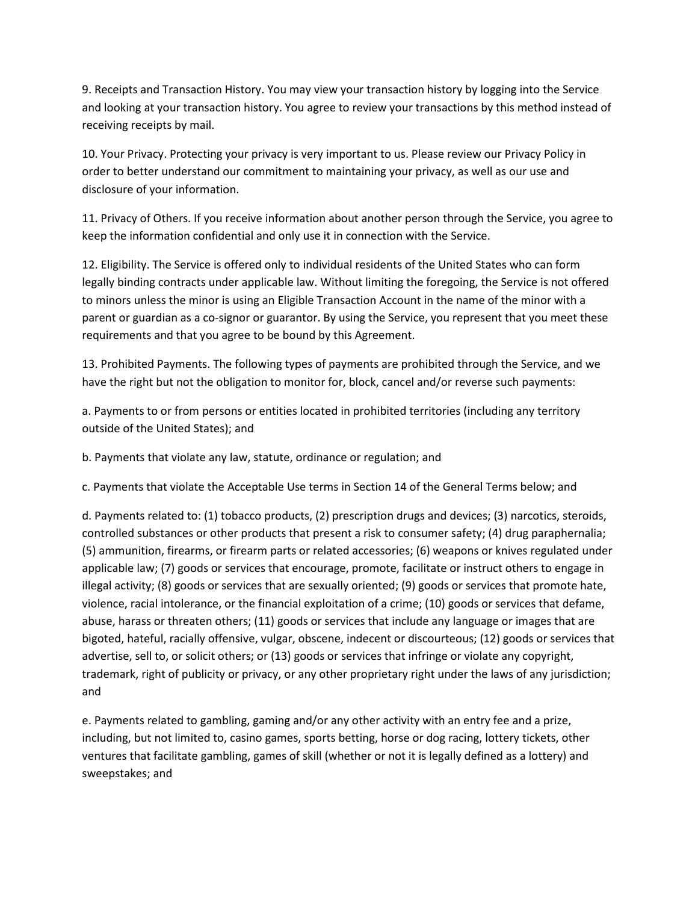9. Receipts and Transaction History. You may view your transaction history by logging into the Service and looking at your transaction history. You agree to review your transactions by this method instead of receiving receipts by mail.

10. Your Privacy. Protecting your privacy is very important to us. Please review our Privacy Policy in order to better understand our commitment to maintaining your privacy, as well as our use and disclosure of your information.

11. Privacy of Others. If you receive information about another person through the Service, you agree to keep the information confidential and only use it in connection with the Service.

12. Eligibility. The Service is offered only to individual residents of the United States who can form legally binding contracts under applicable law. Without limiting the foregoing, the Service is not offered to minors unless the minor is using an Eligible Transaction Account in the name of the minor with a parent or guardian as a co-signor or guarantor. By using the Service, you represent that you meet these requirements and that you agree to be bound by this Agreement.

13. Prohibited Payments. The following types of payments are prohibited through the Service, and we have the right but not the obligation to monitor for, block, cancel and/or reverse such payments:

a. Payments to or from persons or entities located in prohibited territories (including any territory outside of the United States); and

b. Payments that violate any law, statute, ordinance or regulation; and

c. Payments that violate the Acceptable Use terms in Section 14 of the General Terms below; and

d. Payments related to: (1) tobacco products, (2) prescription drugs and devices; (3) narcotics, steroids, controlled substances or other products that present a risk to consumer safety; (4) drug paraphernalia; (5) ammunition, firearms, or firearm parts or related accessories; (6) weapons or knives regulated under applicable law; (7) goods or services that encourage, promote, facilitate or instruct others to engage in illegal activity; (8) goods or services that are sexually oriented; (9) goods or services that promote hate, violence, racial intolerance, or the financial exploitation of a crime; (10) goods or services that defame, abuse, harass or threaten others; (11) goods or services that include any language or images that are bigoted, hateful, racially offensive, vulgar, obscene, indecent or discourteous; (12) goods or services that advertise, sell to, or solicit others; or (13) goods or services that infringe or violate any copyright, trademark, right of publicity or privacy, or any other proprietary right under the laws of any jurisdiction; and

e. Payments related to gambling, gaming and/or any other activity with an entry fee and a prize, including, but not limited to, casino games, sports betting, horse or dog racing, lottery tickets, other ventures that facilitate gambling, games of skill (whether or not it is legally defined as a lottery) and sweepstakes; and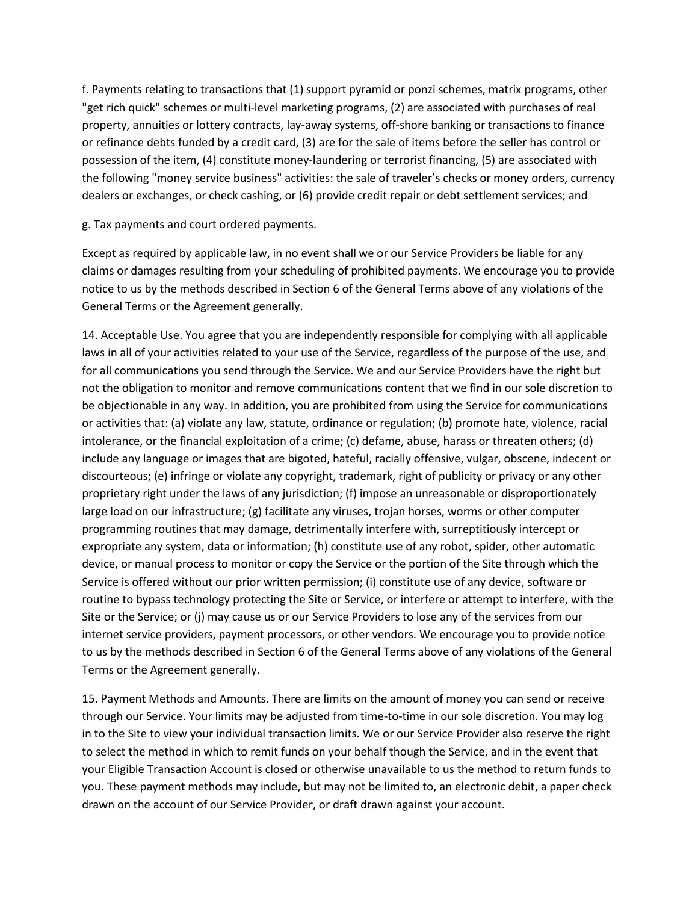f. Payments relating to transactions that (1) support pyramid or ponzi schemes, matrix programs, other "get rich quick" schemes or multi-level marketing programs, (2) are associated with purchases of real property, annuities or lottery contracts, lay-away systems, off-shore banking or transactions to finance or refinance debts funded by a credit card, (3) are for the sale of items before the seller has control or possession of the item, (4) constitute money-laundering or terrorist financing, (5) are associated with the following "money service business" activities: the sale of traveler's checks or money orders, currency dealers or exchanges, or check cashing, or (6) provide credit repair or debt settlement services; and

g. Tax payments and court ordered payments.

Except as required by applicable law, in no event shall we or our Service Providers be liable for any claims or damages resulting from your scheduling of prohibited payments. We encourage you to provide notice to us by the methods described in Section 6 of the General Terms above of any violations of the General Terms or the Agreement generally.

14. Acceptable Use. You agree that you are independently responsible for complying with all applicable laws in all of your activities related to your use of the Service, regardless of the purpose of the use, and for all communications you send through the Service. We and our Service Providers have the right but not the obligation to monitor and remove communications content that we find in our sole discretion to be objectionable in any way. In addition, you are prohibited from using the Service for communications or activities that: (a) violate any law, statute, ordinance or regulation; (b) promote hate, violence, racial intolerance, or the financial exploitation of a crime; (c) defame, abuse, harass or threaten others; (d) include any language or images that are bigoted, hateful, racially offensive, vulgar, obscene, indecent or discourteous; (e) infringe or violate any copyright, trademark, right of publicity or privacy or any other proprietary right under the laws of any jurisdiction; (f) impose an unreasonable or disproportionately large load on our infrastructure; (g) facilitate any viruses, trojan horses, worms or other computer programming routines that may damage, detrimentally interfere with, surreptitiously intercept or expropriate any system, data or information; (h) constitute use of any robot, spider, other automatic device, or manual process to monitor or copy the Service or the portion of the Site through which the Service is offered without our prior written permission; (i) constitute use of any device, software or routine to bypass technology protecting the Site or Service, or interfere or attempt to interfere, with the Site or the Service; or (j) may cause us or our Service Providers to lose any of the services from our internet service providers, payment processors, or other vendors. We encourage you to provide notice to us by the methods described in Section 6 of the General Terms above of any violations of the General Terms or the Agreement generally.

15. Payment Methods and Amounts. There are limits on the amount of money you can send or receive through our Service. Your limits may be adjusted from time-to-time in our sole discretion. You may log in to the Site to view your individual transaction limits. We or our Service Provider also reserve the right to select the method in which to remit funds on your behalf though the Service, and in the event that your Eligible Transaction Account is closed or otherwise unavailable to us the method to return funds to you. These payment methods may include, but may not be limited to, an electronic debit, a paper check drawn on the account of our Service Provider, or draft drawn against your account.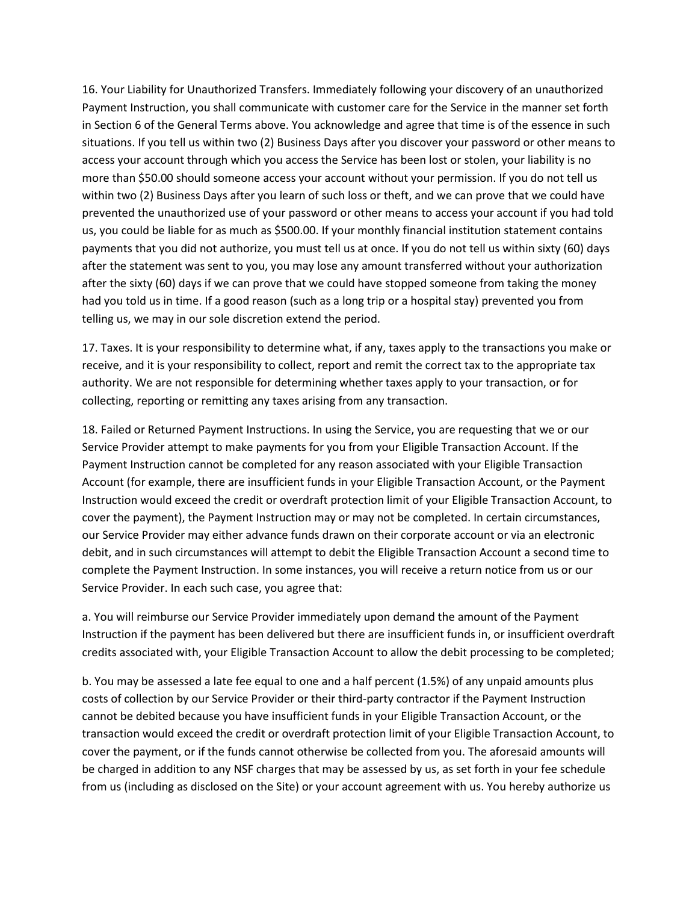16. Your Liability for Unauthorized Transfers. Immediately following your discovery of an unauthorized Payment Instruction, you shall communicate with customer care for the Service in the manner set forth in Section 6 of the General Terms above. You acknowledge and agree that time is of the essence in such situations. If you tell us within two (2) Business Days after you discover your password or other means to access your account through which you access the Service has been lost or stolen, your liability is no more than \$50.00 should someone access your account without your permission. If you do not tell us within two (2) Business Days after you learn of such loss or theft, and we can prove that we could have prevented the unauthorized use of your password or other means to access your account if you had told us, you could be liable for as much as \$500.00. If your monthly financial institution statement contains payments that you did not authorize, you must tell us at once. If you do not tell us within sixty (60) days after the statement was sent to you, you may lose any amount transferred without your authorization after the sixty (60) days if we can prove that we could have stopped someone from taking the money had you told us in time. If a good reason (such as a long trip or a hospital stay) prevented you from telling us, we may in our sole discretion extend the period.

17. Taxes. It is your responsibility to determine what, if any, taxes apply to the transactions you make or receive, and it is your responsibility to collect, report and remit the correct tax to the appropriate tax authority. We are not responsible for determining whether taxes apply to your transaction, or for collecting, reporting or remitting any taxes arising from any transaction.

18. Failed or Returned Payment Instructions. In using the Service, you are requesting that we or our Service Provider attempt to make payments for you from your Eligible Transaction Account. If the Payment Instruction cannot be completed for any reason associated with your Eligible Transaction Account (for example, there are insufficient funds in your Eligible Transaction Account, or the Payment Instruction would exceed the credit or overdraft protection limit of your Eligible Transaction Account, to cover the payment), the Payment Instruction may or may not be completed. In certain circumstances, our Service Provider may either advance funds drawn on their corporate account or via an electronic debit, and in such circumstances will attempt to debit the Eligible Transaction Account a second time to complete the Payment Instruction. In some instances, you will receive a return notice from us or our Service Provider. In each such case, you agree that:

a. You will reimburse our Service Provider immediately upon demand the amount of the Payment Instruction if the payment has been delivered but there are insufficient funds in, or insufficient overdraft credits associated with, your Eligible Transaction Account to allow the debit processing to be completed;

b. You may be assessed a late fee equal to one and a half percent (1.5%) of any unpaid amounts plus costs of collection by our Service Provider or their third-party contractor if the Payment Instruction cannot be debited because you have insufficient funds in your Eligible Transaction Account, or the transaction would exceed the credit or overdraft protection limit of your Eligible Transaction Account, to cover the payment, or if the funds cannot otherwise be collected from you. The aforesaid amounts will be charged in addition to any NSF charges that may be assessed by us, as set forth in your fee schedule from us (including as disclosed on the Site) or your account agreement with us. You hereby authorize us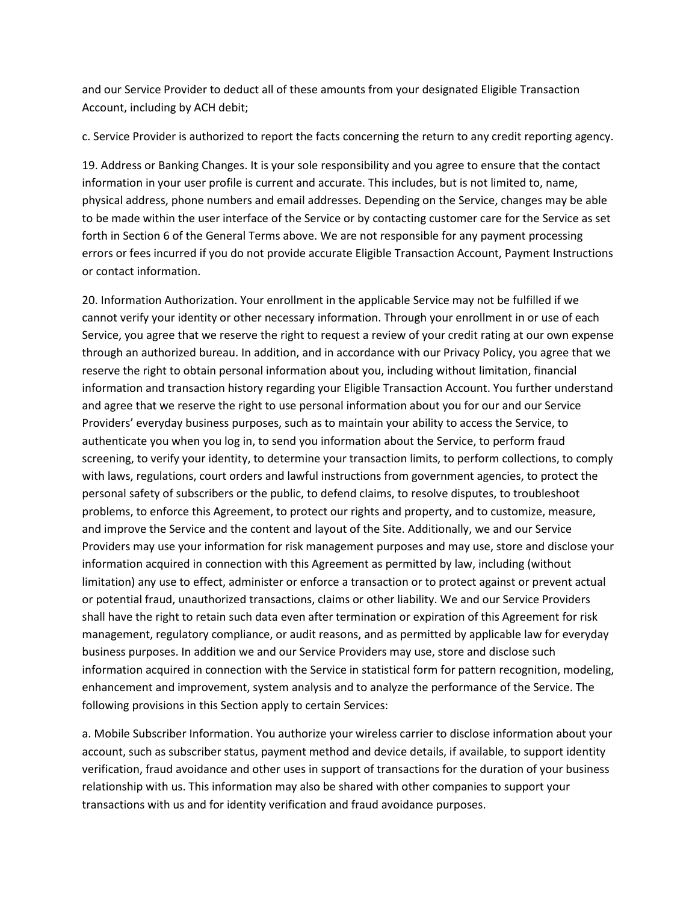and our Service Provider to deduct all of these amounts from your designated Eligible Transaction Account, including by ACH debit;

c. Service Provider is authorized to report the facts concerning the return to any credit reporting agency.

19. Address or Banking Changes. It is your sole responsibility and you agree to ensure that the contact information in your user profile is current and accurate. This includes, but is not limited to, name, physical address, phone numbers and email addresses. Depending on the Service, changes may be able to be made within the user interface of the Service or by contacting customer care for the Service as set forth in Section 6 of the General Terms above. We are not responsible for any payment processing errors or fees incurred if you do not provide accurate Eligible Transaction Account, Payment Instructions or contact information.

20. Information Authorization. Your enrollment in the applicable Service may not be fulfilled if we cannot verify your identity or other necessary information. Through your enrollment in or use of each Service, you agree that we reserve the right to request a review of your credit rating at our own expense through an authorized bureau. In addition, and in accordance with our Privacy Policy, you agree that we reserve the right to obtain personal information about you, including without limitation, financial information and transaction history regarding your Eligible Transaction Account. You further understand and agree that we reserve the right to use personal information about you for our and our Service Providers' everyday business purposes, such as to maintain your ability to access the Service, to authenticate you when you log in, to send you information about the Service, to perform fraud screening, to verify your identity, to determine your transaction limits, to perform collections, to comply with laws, regulations, court orders and lawful instructions from government agencies, to protect the personal safety of subscribers or the public, to defend claims, to resolve disputes, to troubleshoot problems, to enforce this Agreement, to protect our rights and property, and to customize, measure, and improve the Service and the content and layout of the Site. Additionally, we and our Service Providers may use your information for risk management purposes and may use, store and disclose your information acquired in connection with this Agreement as permitted by law, including (without limitation) any use to effect, administer or enforce a transaction or to protect against or prevent actual or potential fraud, unauthorized transactions, claims or other liability. We and our Service Providers shall have the right to retain such data even after termination or expiration of this Agreement for risk management, regulatory compliance, or audit reasons, and as permitted by applicable law for everyday business purposes. In addition we and our Service Providers may use, store and disclose such information acquired in connection with the Service in statistical form for pattern recognition, modeling, enhancement and improvement, system analysis and to analyze the performance of the Service. The following provisions in this Section apply to certain Services:

a. Mobile Subscriber Information. You authorize your wireless carrier to disclose information about your account, such as subscriber status, payment method and device details, if available, to support identity verification, fraud avoidance and other uses in support of transactions for the duration of your business relationship with us. This information may also be shared with other companies to support your transactions with us and for identity verification and fraud avoidance purposes.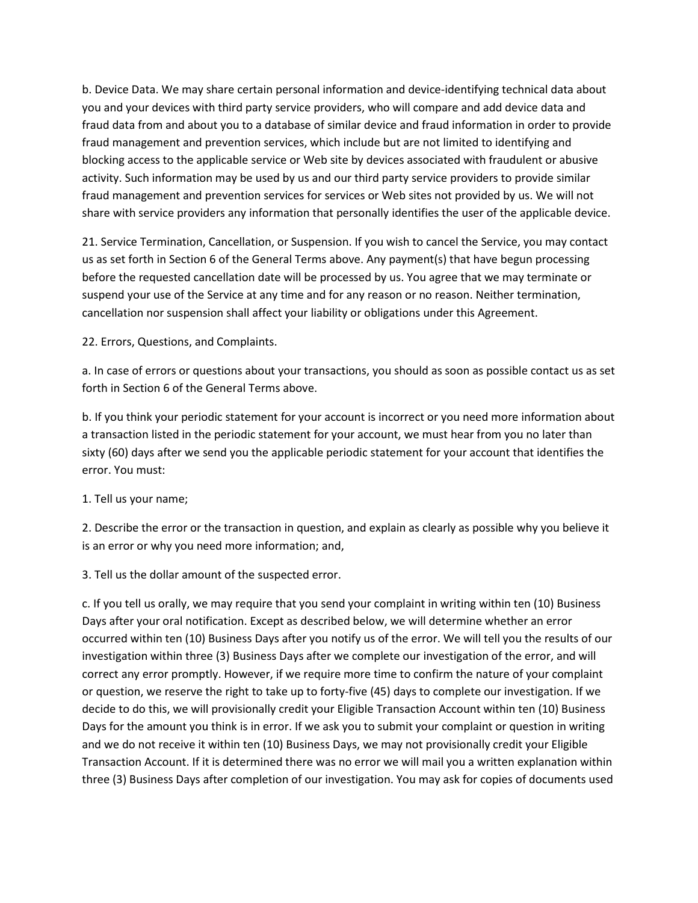b. Device Data. We may share certain personal information and device-identifying technical data about you and your devices with third party service providers, who will compare and add device data and fraud data from and about you to a database of similar device and fraud information in order to provide fraud management and prevention services, which include but are not limited to identifying and blocking access to the applicable service or Web site by devices associated with fraudulent or abusive activity. Such information may be used by us and our third party service providers to provide similar fraud management and prevention services for services or Web sites not provided by us. We will not share with service providers any information that personally identifies the user of the applicable device.

21. Service Termination, Cancellation, or Suspension. If you wish to cancel the Service, you may contact us as set forth in Section 6 of the General Terms above. Any payment(s) that have begun processing before the requested cancellation date will be processed by us. You agree that we may terminate or suspend your use of the Service at any time and for any reason or no reason. Neither termination, cancellation nor suspension shall affect your liability or obligations under this Agreement.

22. Errors, Questions, and Complaints.

a. In case of errors or questions about your transactions, you should as soon as possible contact us as set forth in Section 6 of the General Terms above.

b. If you think your periodic statement for your account is incorrect or you need more information about a transaction listed in the periodic statement for your account, we must hear from you no later than sixty (60) days after we send you the applicable periodic statement for your account that identifies the error. You must:

1. Tell us your name;

2. Describe the error or the transaction in question, and explain as clearly as possible why you believe it is an error or why you need more information; and,

3. Tell us the dollar amount of the suspected error.

c. If you tell us orally, we may require that you send your complaint in writing within ten (10) Business Days after your oral notification. Except as described below, we will determine whether an error occurred within ten (10) Business Days after you notify us of the error. We will tell you the results of our investigation within three (3) Business Days after we complete our investigation of the error, and will correct any error promptly. However, if we require more time to confirm the nature of your complaint or question, we reserve the right to take up to forty-five (45) days to complete our investigation. If we decide to do this, we will provisionally credit your Eligible Transaction Account within ten (10) Business Days for the amount you think is in error. If we ask you to submit your complaint or question in writing and we do not receive it within ten (10) Business Days, we may not provisionally credit your Eligible Transaction Account. If it is determined there was no error we will mail you a written explanation within three (3) Business Days after completion of our investigation. You may ask for copies of documents used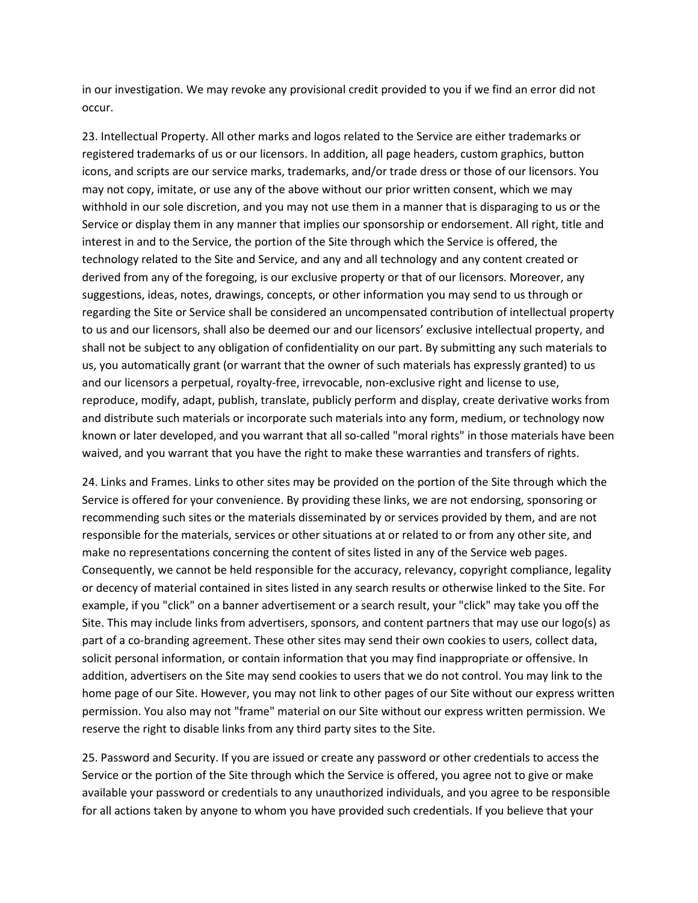in our investigation. We may revoke any provisional credit provided to you if we find an error did not occur.

23. Intellectual Property. All other marks and logos related to the Service are either trademarks or registered trademarks of us or our licensors. In addition, all page headers, custom graphics, button icons, and scripts are our service marks, trademarks, and/or trade dress or those of our licensors. You may not copy, imitate, or use any of the above without our prior written consent, which we may withhold in our sole discretion, and you may not use them in a manner that is disparaging to us or the Service or display them in any manner that implies our sponsorship or endorsement. All right, title and interest in and to the Service, the portion of the Site through which the Service is offered, the technology related to the Site and Service, and any and all technology and any content created or derived from any of the foregoing, is our exclusive property or that of our licensors. Moreover, any suggestions, ideas, notes, drawings, concepts, or other information you may send to us through or regarding the Site or Service shall be considered an uncompensated contribution of intellectual property to us and our licensors, shall also be deemed our and our licensors' exclusive intellectual property, and shall not be subject to any obligation of confidentiality on our part. By submitting any such materials to us, you automatically grant (or warrant that the owner of such materials has expressly granted) to us and our licensors a perpetual, royalty-free, irrevocable, non-exclusive right and license to use, reproduce, modify, adapt, publish, translate, publicly perform and display, create derivative works from and distribute such materials or incorporate such materials into any form, medium, or technology now known or later developed, and you warrant that all so-called "moral rights" in those materials have been waived, and you warrant that you have the right to make these warranties and transfers of rights.

24. Links and Frames. Links to other sites may be provided on the portion of the Site through which the Service is offered for your convenience. By providing these links, we are not endorsing, sponsoring or recommending such sites or the materials disseminated by or services provided by them, and are not responsible for the materials, services or other situations at or related to or from any other site, and make no representations concerning the content of sites listed in any of the Service web pages. Consequently, we cannot be held responsible for the accuracy, relevancy, copyright compliance, legality or decency of material contained in sites listed in any search results or otherwise linked to the Site. For example, if you "click" on a banner advertisement or a search result, your "click" may take you off the Site. This may include links from advertisers, sponsors, and content partners that may use our logo(s) as part of a co-branding agreement. These other sites may send their own cookies to users, collect data, solicit personal information, or contain information that you may find inappropriate or offensive. In addition, advertisers on the Site may send cookies to users that we do not control. You may link to the home page of our Site. However, you may not link to other pages of our Site without our express written permission. You also may not "frame" material on our Site without our express written permission. We reserve the right to disable links from any third party sites to the Site.

25. Password and Security. If you are issued or create any password or other credentials to access the Service or the portion of the Site through which the Service is offered, you agree not to give or make available your password or credentials to any unauthorized individuals, and you agree to be responsible for all actions taken by anyone to whom you have provided such credentials. If you believe that your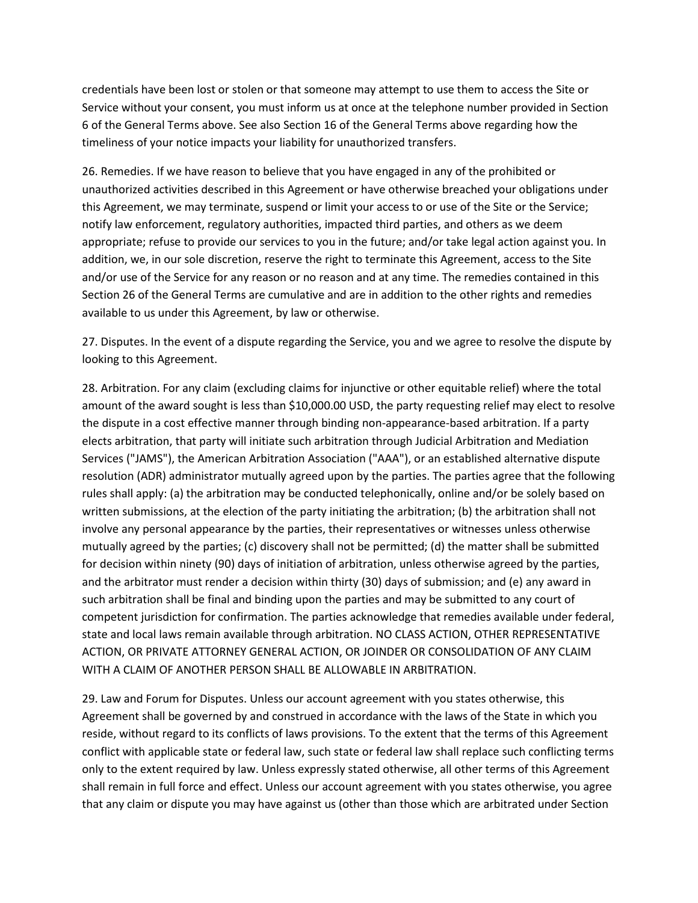credentials have been lost or stolen or that someone may attempt to use them to access the Site or Service without your consent, you must inform us at once at the telephone number provided in Section 6 of the General Terms above. See also Section 16 of the General Terms above regarding how the timeliness of your notice impacts your liability for unauthorized transfers.

26. Remedies. If we have reason to believe that you have engaged in any of the prohibited or unauthorized activities described in this Agreement or have otherwise breached your obligations under this Agreement, we may terminate, suspend or limit your access to or use of the Site or the Service; notify law enforcement, regulatory authorities, impacted third parties, and others as we deem appropriate; refuse to provide our services to you in the future; and/or take legal action against you. In addition, we, in our sole discretion, reserve the right to terminate this Agreement, access to the Site and/or use of the Service for any reason or no reason and at any time. The remedies contained in this Section 26 of the General Terms are cumulative and are in addition to the other rights and remedies available to us under this Agreement, by law or otherwise.

27. Disputes. In the event of a dispute regarding the Service, you and we agree to resolve the dispute by looking to this Agreement.

28. Arbitration. For any claim (excluding claims for injunctive or other equitable relief) where the total amount of the award sought is less than \$10,000.00 USD, the party requesting relief may elect to resolve the dispute in a cost effective manner through binding non-appearance-based arbitration. If a party elects arbitration, that party will initiate such arbitration through Judicial Arbitration and Mediation Services ("JAMS"), the American Arbitration Association ("AAA"), or an established alternative dispute resolution (ADR) administrator mutually agreed upon by the parties. The parties agree that the following rules shall apply: (a) the arbitration may be conducted telephonically, online and/or be solely based on written submissions, at the election of the party initiating the arbitration; (b) the arbitration shall not involve any personal appearance by the parties, their representatives or witnesses unless otherwise mutually agreed by the parties; (c) discovery shall not be permitted; (d) the matter shall be submitted for decision within ninety (90) days of initiation of arbitration, unless otherwise agreed by the parties, and the arbitrator must render a decision within thirty (30) days of submission; and (e) any award in such arbitration shall be final and binding upon the parties and may be submitted to any court of competent jurisdiction for confirmation. The parties acknowledge that remedies available under federal, state and local laws remain available through arbitration. NO CLASS ACTION, OTHER REPRESENTATIVE ACTION, OR PRIVATE ATTORNEY GENERAL ACTION, OR JOINDER OR CONSOLIDATION OF ANY CLAIM WITH A CLAIM OF ANOTHER PERSON SHALL BE ALLOWABLE IN ARBITRATION.

29. Law and Forum for Disputes. Unless our account agreement with you states otherwise, this Agreement shall be governed by and construed in accordance with the laws of the State in which you reside, without regard to its conflicts of laws provisions. To the extent that the terms of this Agreement conflict with applicable state or federal law, such state or federal law shall replace such conflicting terms only to the extent required by law. Unless expressly stated otherwise, all other terms of this Agreement shall remain in full force and effect. Unless our account agreement with you states otherwise, you agree that any claim or dispute you may have against us (other than those which are arbitrated under Section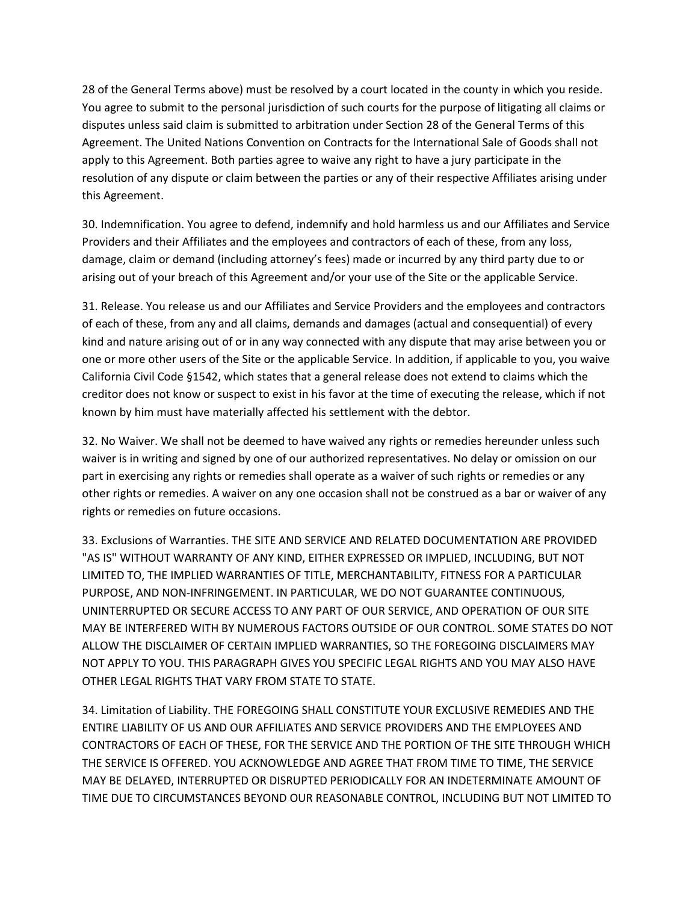28 of the General Terms above) must be resolved by a court located in the county in which you reside. You agree to submit to the personal jurisdiction of such courts for the purpose of litigating all claims or disputes unless said claim is submitted to arbitration under Section 28 of the General Terms of this Agreement. The United Nations Convention on Contracts for the International Sale of Goods shall not apply to this Agreement. Both parties agree to waive any right to have a jury participate in the resolution of any dispute or claim between the parties or any of their respective Affiliates arising under this Agreement.

30. Indemnification. You agree to defend, indemnify and hold harmless us and our Affiliates and Service Providers and their Affiliates and the employees and contractors of each of these, from any loss, damage, claim or demand (including attorney's fees) made or incurred by any third party due to or arising out of your breach of this Agreement and/or your use of the Site or the applicable Service.

31. Release. You release us and our Affiliates and Service Providers and the employees and contractors of each of these, from any and all claims, demands and damages (actual and consequential) of every kind and nature arising out of or in any way connected with any dispute that may arise between you or one or more other users of the Site or the applicable Service. In addition, if applicable to you, you waive California Civil Code §1542, which states that a general release does not extend to claims which the creditor does not know or suspect to exist in his favor at the time of executing the release, which if not known by him must have materially affected his settlement with the debtor.

32. No Waiver. We shall not be deemed to have waived any rights or remedies hereunder unless such waiver is in writing and signed by one of our authorized representatives. No delay or omission on our part in exercising any rights or remedies shall operate as a waiver of such rights or remedies or any other rights or remedies. A waiver on any one occasion shall not be construed as a bar or waiver of any rights or remedies on future occasions.

33. Exclusions of Warranties. THE SITE AND SERVICE AND RELATED DOCUMENTATION ARE PROVIDED "AS IS" WITHOUT WARRANTY OF ANY KIND, EITHER EXPRESSED OR IMPLIED, INCLUDING, BUT NOT LIMITED TO, THE IMPLIED WARRANTIES OF TITLE, MERCHANTABILITY, FITNESS FOR A PARTICULAR PURPOSE, AND NON-INFRINGEMENT. IN PARTICULAR, WE DO NOT GUARANTEE CONTINUOUS, UNINTERRUPTED OR SECURE ACCESS TO ANY PART OF OUR SERVICE, AND OPERATION OF OUR SITE MAY BE INTERFERED WITH BY NUMEROUS FACTORS OUTSIDE OF OUR CONTROL. SOME STATES DO NOT ALLOW THE DISCLAIMER OF CERTAIN IMPLIED WARRANTIES, SO THE FOREGOING DISCLAIMERS MAY NOT APPLY TO YOU. THIS PARAGRAPH GIVES YOU SPECIFIC LEGAL RIGHTS AND YOU MAY ALSO HAVE OTHER LEGAL RIGHTS THAT VARY FROM STATE TO STATE.

34. Limitation of Liability. THE FOREGOING SHALL CONSTITUTE YOUR EXCLUSIVE REMEDIES AND THE ENTIRE LIABILITY OF US AND OUR AFFILIATES AND SERVICE PROVIDERS AND THE EMPLOYEES AND CONTRACTORS OF EACH OF THESE, FOR THE SERVICE AND THE PORTION OF THE SITE THROUGH WHICH THE SERVICE IS OFFERED. YOU ACKNOWLEDGE AND AGREE THAT FROM TIME TO TIME, THE SERVICE MAY BE DELAYED, INTERRUPTED OR DISRUPTED PERIODICALLY FOR AN INDETERMINATE AMOUNT OF TIME DUE TO CIRCUMSTANCES BEYOND OUR REASONABLE CONTROL, INCLUDING BUT NOT LIMITED TO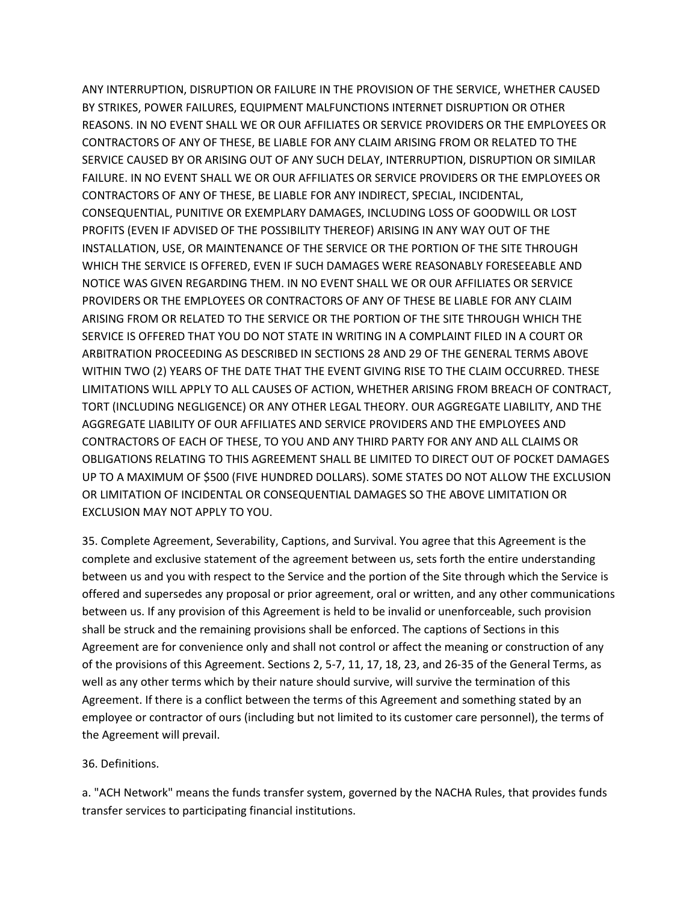ANY INTERRUPTION, DISRUPTION OR FAILURE IN THE PROVISION OF THE SERVICE, WHETHER CAUSED BY STRIKES, POWER FAILURES, EQUIPMENT MALFUNCTIONS INTERNET DISRUPTION OR OTHER REASONS. IN NO EVENT SHALL WE OR OUR AFFILIATES OR SERVICE PROVIDERS OR THE EMPLOYEES OR CONTRACTORS OF ANY OF THESE, BE LIABLE FOR ANY CLAIM ARISING FROM OR RELATED TO THE SERVICE CAUSED BY OR ARISING OUT OF ANY SUCH DELAY, INTERRUPTION, DISRUPTION OR SIMILAR FAILURE. IN NO EVENT SHALL WE OR OUR AFFILIATES OR SERVICE PROVIDERS OR THE EMPLOYEES OR CONTRACTORS OF ANY OF THESE, BE LIABLE FOR ANY INDIRECT, SPECIAL, INCIDENTAL, CONSEQUENTIAL, PUNITIVE OR EXEMPLARY DAMAGES, INCLUDING LOSS OF GOODWILL OR LOST PROFITS (EVEN IF ADVISED OF THE POSSIBILITY THEREOF) ARISING IN ANY WAY OUT OF THE INSTALLATION, USE, OR MAINTENANCE OF THE SERVICE OR THE PORTION OF THE SITE THROUGH WHICH THE SERVICE IS OFFERED, EVEN IF SUCH DAMAGES WERE REASONABLY FORESEEABLE AND NOTICE WAS GIVEN REGARDING THEM. IN NO EVENT SHALL WE OR OUR AFFILIATES OR SERVICE PROVIDERS OR THE EMPLOYEES OR CONTRACTORS OF ANY OF THESE BE LIABLE FOR ANY CLAIM ARISING FROM OR RELATED TO THE SERVICE OR THE PORTION OF THE SITE THROUGH WHICH THE SERVICE IS OFFERED THAT YOU DO NOT STATE IN WRITING IN A COMPLAINT FILED IN A COURT OR ARBITRATION PROCEEDING AS DESCRIBED IN SECTIONS 28 AND 29 OF THE GENERAL TERMS ABOVE WITHIN TWO (2) YEARS OF THE DATE THAT THE EVENT GIVING RISE TO THE CLAIM OCCURRED. THESE LIMITATIONS WILL APPLY TO ALL CAUSES OF ACTION, WHETHER ARISING FROM BREACH OF CONTRACT, TORT (INCLUDING NEGLIGENCE) OR ANY OTHER LEGAL THEORY. OUR AGGREGATE LIABILITY, AND THE AGGREGATE LIABILITY OF OUR AFFILIATES AND SERVICE PROVIDERS AND THE EMPLOYEES AND CONTRACTORS OF EACH OF THESE, TO YOU AND ANY THIRD PARTY FOR ANY AND ALL CLAIMS OR OBLIGATIONS RELATING TO THIS AGREEMENT SHALL BE LIMITED TO DIRECT OUT OF POCKET DAMAGES UP TO A MAXIMUM OF \$500 (FIVE HUNDRED DOLLARS). SOME STATES DO NOT ALLOW THE EXCLUSION OR LIMITATION OF INCIDENTAL OR CONSEQUENTIAL DAMAGES SO THE ABOVE LIMITATION OR EXCLUSION MAY NOT APPLY TO YOU.

35. Complete Agreement, Severability, Captions, and Survival. You agree that this Agreement is the complete and exclusive statement of the agreement between us, sets forth the entire understanding between us and you with respect to the Service and the portion of the Site through which the Service is offered and supersedes any proposal or prior agreement, oral or written, and any other communications between us. If any provision of this Agreement is held to be invalid or unenforceable, such provision shall be struck and the remaining provisions shall be enforced. The captions of Sections in this Agreement are for convenience only and shall not control or affect the meaning or construction of any of the provisions of this Agreement. Sections 2, 5-7, 11, 17, 18, 23, and 26-35 of the General Terms, as well as any other terms which by their nature should survive, will survive the termination of this Agreement. If there is a conflict between the terms of this Agreement and something stated by an employee or contractor of ours (including but not limited to its customer care personnel), the terms of the Agreement will prevail.

#### 36. Definitions.

a. "ACH Network" means the funds transfer system, governed by the NACHA Rules, that provides funds transfer services to participating financial institutions.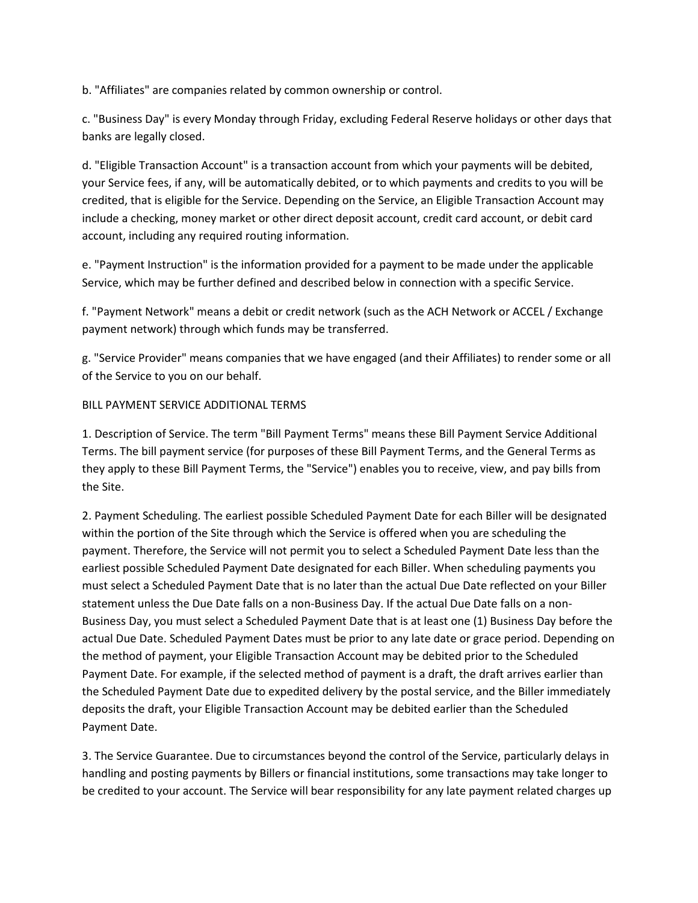b. "Affiliates" are companies related by common ownership or control.

c. "Business Day" is every Monday through Friday, excluding Federal Reserve holidays or other days that banks are legally closed.

d. "Eligible Transaction Account" is a transaction account from which your payments will be debited, your Service fees, if any, will be automatically debited, or to which payments and credits to you will be credited, that is eligible for the Service. Depending on the Service, an Eligible Transaction Account may include a checking, money market or other direct deposit account, credit card account, or debit card account, including any required routing information.

e. "Payment Instruction" is the information provided for a payment to be made under the applicable Service, which may be further defined and described below in connection with a specific Service.

f. "Payment Network" means a debit or credit network (such as the ACH Network or ACCEL / Exchange payment network) through which funds may be transferred.

g. "Service Provider" means companies that we have engaged (and their Affiliates) to render some or all of the Service to you on our behalf.

#### BILL PAYMENT SERVICE ADDITIONAL TERMS

1. Description of Service. The term "Bill Payment Terms" means these Bill Payment Service Additional Terms. The bill payment service (for purposes of these Bill Payment Terms, and the General Terms as they apply to these Bill Payment Terms, the "Service") enables you to receive, view, and pay bills from the Site.

2. Payment Scheduling. The earliest possible Scheduled Payment Date for each Biller will be designated within the portion of the Site through which the Service is offered when you are scheduling the payment. Therefore, the Service will not permit you to select a Scheduled Payment Date less than the earliest possible Scheduled Payment Date designated for each Biller. When scheduling payments you must select a Scheduled Payment Date that is no later than the actual Due Date reflected on your Biller statement unless the Due Date falls on a non-Business Day. If the actual Due Date falls on a non-Business Day, you must select a Scheduled Payment Date that is at least one (1) Business Day before the actual Due Date. Scheduled Payment Dates must be prior to any late date or grace period. Depending on the method of payment, your Eligible Transaction Account may be debited prior to the Scheduled Payment Date. For example, if the selected method of payment is a draft, the draft arrives earlier than the Scheduled Payment Date due to expedited delivery by the postal service, and the Biller immediately deposits the draft, your Eligible Transaction Account may be debited earlier than the Scheduled Payment Date.

3. The Service Guarantee. Due to circumstances beyond the control of the Service, particularly delays in handling and posting payments by Billers or financial institutions, some transactions may take longer to be credited to your account. The Service will bear responsibility for any late payment related charges up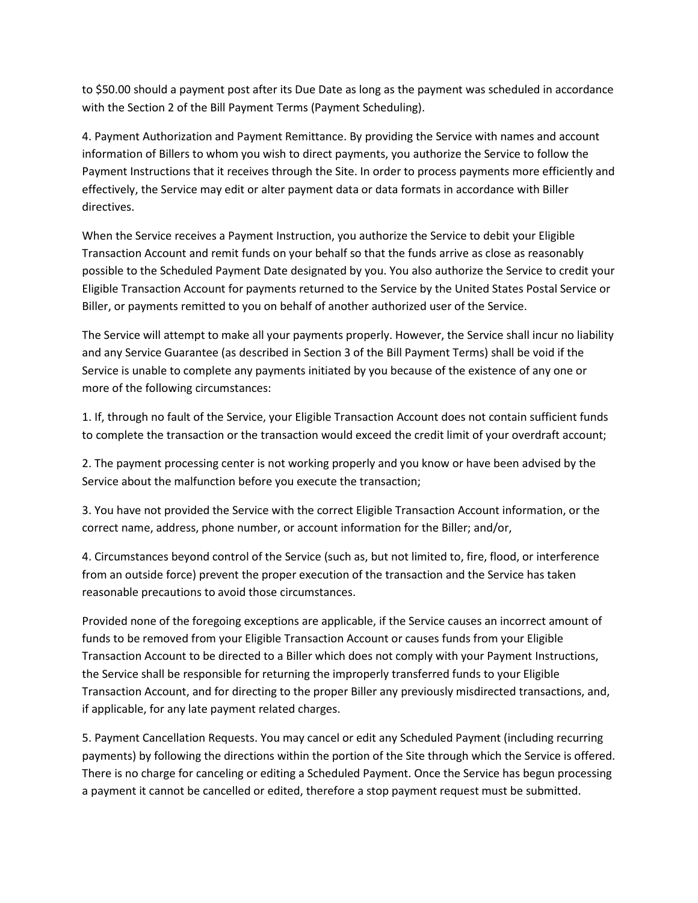to \$50.00 should a payment post after its Due Date as long as the payment was scheduled in accordance with the Section 2 of the Bill Payment Terms (Payment Scheduling).

4. Payment Authorization and Payment Remittance. By providing the Service with names and account information of Billers to whom you wish to direct payments, you authorize the Service to follow the Payment Instructions that it receives through the Site. In order to process payments more efficiently and effectively, the Service may edit or alter payment data or data formats in accordance with Biller directives.

When the Service receives a Payment Instruction, you authorize the Service to debit your Eligible Transaction Account and remit funds on your behalf so that the funds arrive as close as reasonably possible to the Scheduled Payment Date designated by you. You also authorize the Service to credit your Eligible Transaction Account for payments returned to the Service by the United States Postal Service or Biller, or payments remitted to you on behalf of another authorized user of the Service.

The Service will attempt to make all your payments properly. However, the Service shall incur no liability and any Service Guarantee (as described in Section 3 of the Bill Payment Terms) shall be void if the Service is unable to complete any payments initiated by you because of the existence of any one or more of the following circumstances:

1. If, through no fault of the Service, your Eligible Transaction Account does not contain sufficient funds to complete the transaction or the transaction would exceed the credit limit of your overdraft account;

2. The payment processing center is not working properly and you know or have been advised by the Service about the malfunction before you execute the transaction;

3. You have not provided the Service with the correct Eligible Transaction Account information, or the correct name, address, phone number, or account information for the Biller; and/or,

4. Circumstances beyond control of the Service (such as, but not limited to, fire, flood, or interference from an outside force) prevent the proper execution of the transaction and the Service has taken reasonable precautions to avoid those circumstances.

Provided none of the foregoing exceptions are applicable, if the Service causes an incorrect amount of funds to be removed from your Eligible Transaction Account or causes funds from your Eligible Transaction Account to be directed to a Biller which does not comply with your Payment Instructions, the Service shall be responsible for returning the improperly transferred funds to your Eligible Transaction Account, and for directing to the proper Biller any previously misdirected transactions, and, if applicable, for any late payment related charges.

5. Payment Cancellation Requests. You may cancel or edit any Scheduled Payment (including recurring payments) by following the directions within the portion of the Site through which the Service is offered. There is no charge for canceling or editing a Scheduled Payment. Once the Service has begun processing a payment it cannot be cancelled or edited, therefore a stop payment request must be submitted.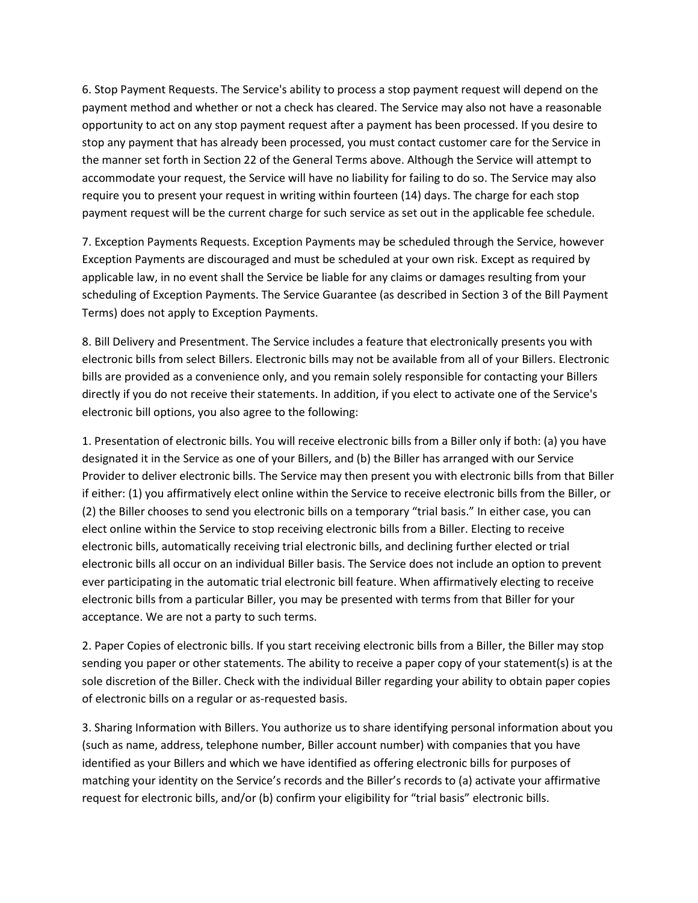6. Stop Payment Requests. The Service's ability to process a stop payment request will depend on the payment method and whether or not a check has cleared. The Service may also not have a reasonable opportunity to act on any stop payment request after a payment has been processed. If you desire to stop any payment that has already been processed, you must contact customer care for the Service in the manner set forth in Section 22 of the General Terms above. Although the Service will attempt to accommodate your request, the Service will have no liability for failing to do so. The Service may also require you to present your request in writing within fourteen (14) days. The charge for each stop payment request will be the current charge for such service as set out in the applicable fee schedule.

7. Exception Payments Requests. Exception Payments may be scheduled through the Service, however Exception Payments are discouraged and must be scheduled at your own risk. Except as required by applicable law, in no event shall the Service be liable for any claims or damages resulting from your scheduling of Exception Payments. The Service Guarantee (as described in Section 3 of the Bill Payment Terms) does not apply to Exception Payments.

8. Bill Delivery and Presentment. The Service includes a feature that electronically presents you with electronic bills from select Billers. Electronic bills may not be available from all of your Billers. Electronic bills are provided as a convenience only, and you remain solely responsible for contacting your Billers directly if you do not receive their statements. In addition, if you elect to activate one of the Service's electronic bill options, you also agree to the following:

1. Presentation of electronic bills. You will receive electronic bills from a Biller only if both: (a) you have designated it in the Service as one of your Billers, and (b) the Biller has arranged with our Service Provider to deliver electronic bills. The Service may then present you with electronic bills from that Biller if either: (1) you affirmatively elect online within the Service to receive electronic bills from the Biller, or (2) the Biller chooses to send you electronic bills on a temporary "trial basis." In either case, you can elect online within the Service to stop receiving electronic bills from a Biller. Electing to receive electronic bills, automatically receiving trial electronic bills, and declining further elected or trial electronic bills all occur on an individual Biller basis. The Service does not include an option to prevent ever participating in the automatic trial electronic bill feature. When affirmatively electing to receive electronic bills from a particular Biller, you may be presented with terms from that Biller for your acceptance. We are not a party to such terms.

2. Paper Copies of electronic bills. If you start receiving electronic bills from a Biller, the Biller may stop sending you paper or other statements. The ability to receive a paper copy of your statement(s) is at the sole discretion of the Biller. Check with the individual Biller regarding your ability to obtain paper copies of electronic bills on a regular or as-requested basis.

3. Sharing Information with Billers. You authorize us to share identifying personal information about you (such as name, address, telephone number, Biller account number) with companies that you have identified as your Billers and which we have identified as offering electronic bills for purposes of matching your identity on the Service's records and the Biller's records to (a) activate your affirmative request for electronic bills, and/or (b) confirm your eligibility for "trial basis" electronic bills.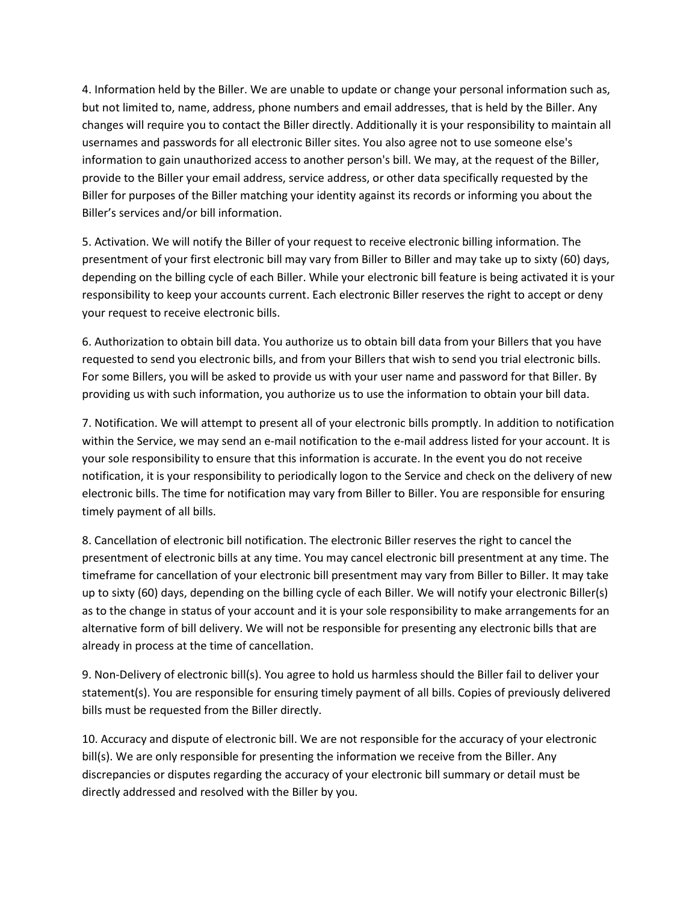4. Information held by the Biller. We are unable to update or change your personal information such as, but not limited to, name, address, phone numbers and email addresses, that is held by the Biller. Any changes will require you to contact the Biller directly. Additionally it is your responsibility to maintain all usernames and passwords for all electronic Biller sites. You also agree not to use someone else's information to gain unauthorized access to another person's bill. We may, at the request of the Biller, provide to the Biller your email address, service address, or other data specifically requested by the Biller for purposes of the Biller matching your identity against its records or informing you about the Biller's services and/or bill information.

5. Activation. We will notify the Biller of your request to receive electronic billing information. The presentment of your first electronic bill may vary from Biller to Biller and may take up to sixty (60) days, depending on the billing cycle of each Biller. While your electronic bill feature is being activated it is your responsibility to keep your accounts current. Each electronic Biller reserves the right to accept or deny your request to receive electronic bills.

6. Authorization to obtain bill data. You authorize us to obtain bill data from your Billers that you have requested to send you electronic bills, and from your Billers that wish to send you trial electronic bills. For some Billers, you will be asked to provide us with your user name and password for that Biller. By providing us with such information, you authorize us to use the information to obtain your bill data.

7. Notification. We will attempt to present all of your electronic bills promptly. In addition to notification within the Service, we may send an e-mail notification to the e-mail address listed for your account. It is your sole responsibility to ensure that this information is accurate. In the event you do not receive notification, it is your responsibility to periodically logon to the Service and check on the delivery of new electronic bills. The time for notification may vary from Biller to Biller. You are responsible for ensuring timely payment of all bills.

8. Cancellation of electronic bill notification. The electronic Biller reserves the right to cancel the presentment of electronic bills at any time. You may cancel electronic bill presentment at any time. The timeframe for cancellation of your electronic bill presentment may vary from Biller to Biller. It may take up to sixty (60) days, depending on the billing cycle of each Biller. We will notify your electronic Biller(s) as to the change in status of your account and it is your sole responsibility to make arrangements for an alternative form of bill delivery. We will not be responsible for presenting any electronic bills that are already in process at the time of cancellation.

9. Non-Delivery of electronic bill(s). You agree to hold us harmless should the Biller fail to deliver your statement(s). You are responsible for ensuring timely payment of all bills. Copies of previously delivered bills must be requested from the Biller directly.

10. Accuracy and dispute of electronic bill. We are not responsible for the accuracy of your electronic bill(s). We are only responsible for presenting the information we receive from the Biller. Any discrepancies or disputes regarding the accuracy of your electronic bill summary or detail must be directly addressed and resolved with the Biller by you.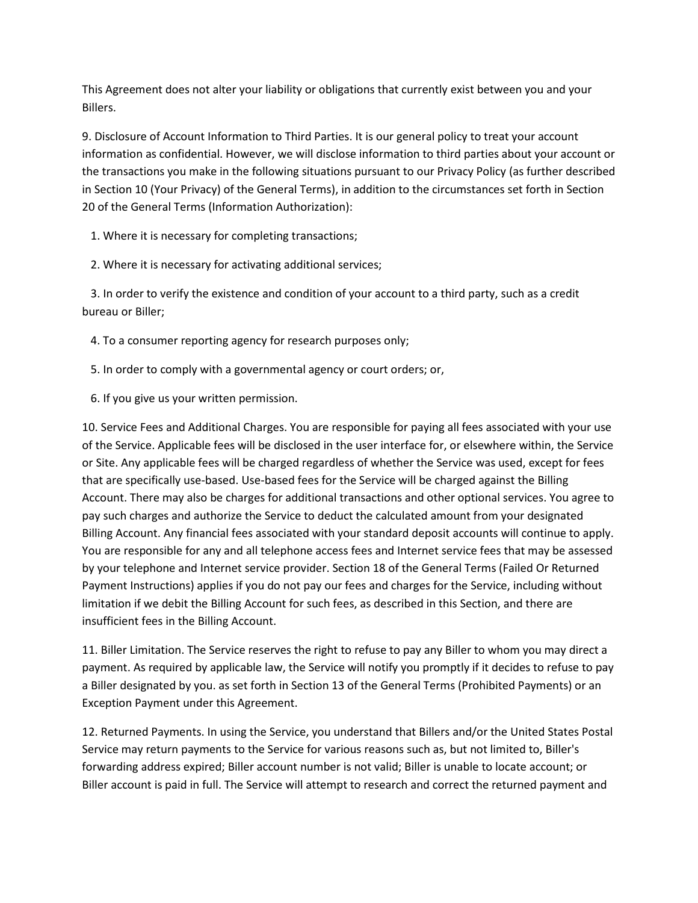This Agreement does not alter your liability or obligations that currently exist between you and your Billers.

9. Disclosure of Account Information to Third Parties. It is our general policy to treat your account information as confidential. However, we will disclose information to third parties about your account or the transactions you make in the following situations pursuant to our Privacy Policy (as further described in Section 10 (Your Privacy) of the General Terms), in addition to the circumstances set forth in Section 20 of the General Terms (Information Authorization):

1. Where it is necessary for completing transactions;

2. Where it is necessary for activating additional services;

 3. In order to verify the existence and condition of your account to a third party, such as a credit bureau or Biller;

4. To a consumer reporting agency for research purposes only;

- 5. In order to comply with a governmental agency or court orders; or,
- 6. If you give us your written permission.

10. Service Fees and Additional Charges. You are responsible for paying all fees associated with your use of the Service. Applicable fees will be disclosed in the user interface for, or elsewhere within, the Service or Site. Any applicable fees will be charged regardless of whether the Service was used, except for fees that are specifically use-based. Use-based fees for the Service will be charged against the Billing Account. There may also be charges for additional transactions and other optional services. You agree to pay such charges and authorize the Service to deduct the calculated amount from your designated Billing Account. Any financial fees associated with your standard deposit accounts will continue to apply. You are responsible for any and all telephone access fees and Internet service fees that may be assessed by your telephone and Internet service provider. Section 18 of the General Terms (Failed Or Returned Payment Instructions) applies if you do not pay our fees and charges for the Service, including without limitation if we debit the Billing Account for such fees, as described in this Section, and there are insufficient fees in the Billing Account.

11. Biller Limitation. The Service reserves the right to refuse to pay any Biller to whom you may direct a payment. As required by applicable law, the Service will notify you promptly if it decides to refuse to pay a Biller designated by you. as set forth in Section 13 of the General Terms (Prohibited Payments) or an Exception Payment under this Agreement.

12. Returned Payments. In using the Service, you understand that Billers and/or the United States Postal Service may return payments to the Service for various reasons such as, but not limited to, Biller's forwarding address expired; Biller account number is not valid; Biller is unable to locate account; or Biller account is paid in full. The Service will attempt to research and correct the returned payment and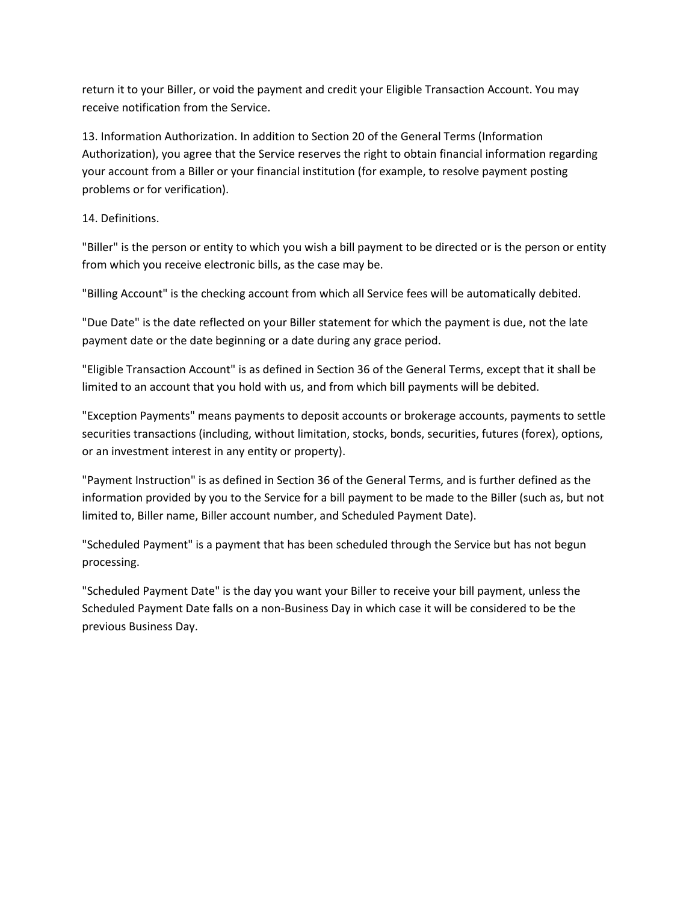return it to your Biller, or void the payment and credit your Eligible Transaction Account. You may receive notification from the Service.

13. Information Authorization. In addition to Section 20 of the General Terms (Information Authorization), you agree that the Service reserves the right to obtain financial information regarding your account from a Biller or your financial institution (for example, to resolve payment posting problems or for verification).

14. Definitions.

"Biller" is the person or entity to which you wish a bill payment to be directed or is the person or entity from which you receive electronic bills, as the case may be.

"Billing Account" is the checking account from which all Service fees will be automatically debited.

"Due Date" is the date reflected on your Biller statement for which the payment is due, not the late payment date or the date beginning or a date during any grace period.

"Eligible Transaction Account" is as defined in Section 36 of the General Terms, except that it shall be limited to an account that you hold with us, and from which bill payments will be debited.

"Exception Payments" means payments to deposit accounts or brokerage accounts, payments to settle securities transactions (including, without limitation, stocks, bonds, securities, futures (forex), options, or an investment interest in any entity or property).

"Payment Instruction" is as defined in Section 36 of the General Terms, and is further defined as the information provided by you to the Service for a bill payment to be made to the Biller (such as, but not limited to, Biller name, Biller account number, and Scheduled Payment Date).

"Scheduled Payment" is a payment that has been scheduled through the Service but has not begun processing.

"Scheduled Payment Date" is the day you want your Biller to receive your bill payment, unless the Scheduled Payment Date falls on a non-Business Day in which case it will be considered to be the previous Business Day.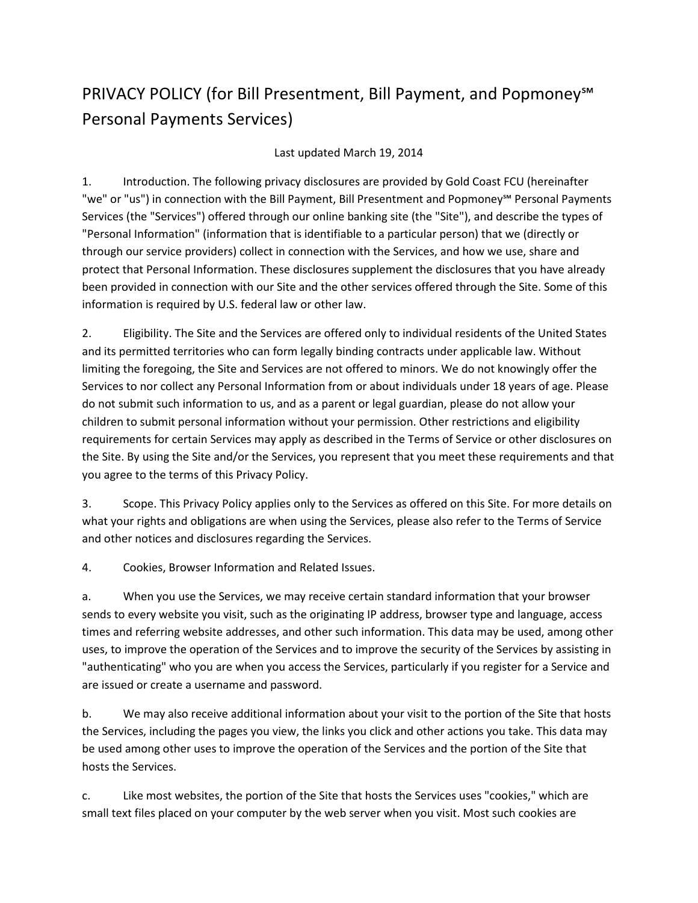# PRIVACY POLICY (for Bill Presentment, Bill Payment, and Popmoney<sup>™</sup> Personal Payments Services)

#### Last updated March 19, 2014

1. Introduction. The following privacy disclosures are provided by Gold Coast FCU (hereinafter "we" or "us") in connection with the Bill Payment, Bill Presentment and Popmoney℠ Personal Payments Services (the "Services") offered through our online banking site (the "Site"), and describe the types of "Personal Information" (information that is identifiable to a particular person) that we (directly or through our service providers) collect in connection with the Services, and how we use, share and protect that Personal Information. These disclosures supplement the disclosures that you have already been provided in connection with our Site and the other services offered through the Site. Some of this information is required by U.S. federal law or other law.

2. Eligibility. The Site and the Services are offered only to individual residents of the United States and its permitted territories who can form legally binding contracts under applicable law. Without limiting the foregoing, the Site and Services are not offered to minors. We do not knowingly offer the Services to nor collect any Personal Information from or about individuals under 18 years of age. Please do not submit such information to us, and as a parent or legal guardian, please do not allow your children to submit personal information without your permission. Other restrictions and eligibility requirements for certain Services may apply as described in the Terms of Service or other disclosures on the Site. By using the Site and/or the Services, you represent that you meet these requirements and that you agree to the terms of this Privacy Policy.

3. Scope. This Privacy Policy applies only to the Services as offered on this Site. For more details on what your rights and obligations are when using the Services, please also refer to the Terms of Service and other notices and disclosures regarding the Services.

4. Cookies, Browser Information and Related Issues.

a. When you use the Services, we may receive certain standard information that your browser sends to every website you visit, such as the originating IP address, browser type and language, access times and referring website addresses, and other such information. This data may be used, among other uses, to improve the operation of the Services and to improve the security of the Services by assisting in "authenticating" who you are when you access the Services, particularly if you register for a Service and are issued or create a username and password.

b. We may also receive additional information about your visit to the portion of the Site that hosts the Services, including the pages you view, the links you click and other actions you take. This data may be used among other uses to improve the operation of the Services and the portion of the Site that hosts the Services.

c. Like most websites, the portion of the Site that hosts the Services uses "cookies," which are small text files placed on your computer by the web server when you visit. Most such cookies are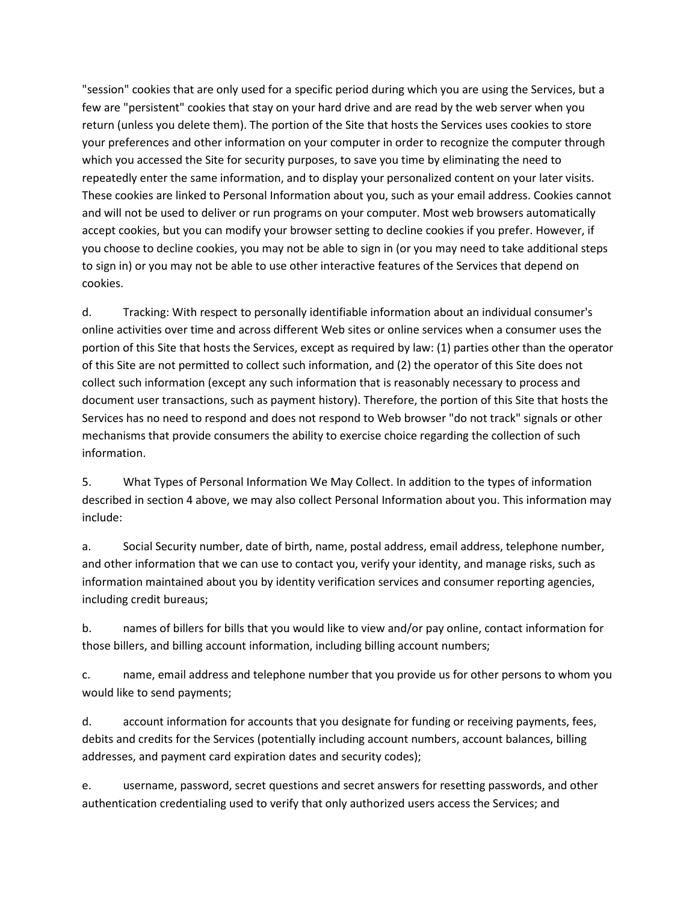"session" cookies that are only used for a specific period during which you are using the Services, but a few are "persistent" cookies that stay on your hard drive and are read by the web server when you return (unless you delete them). The portion of the Site that hosts the Services uses cookies to store your preferences and other information on your computer in order to recognize the computer through which you accessed the Site for security purposes, to save you time by eliminating the need to repeatedly enter the same information, and to display your personalized content on your later visits. These cookies are linked to Personal Information about you, such as your email address. Cookies cannot and will not be used to deliver or run programs on your computer. Most web browsers automatically accept cookies, but you can modify your browser setting to decline cookies if you prefer. However, if you choose to decline cookies, you may not be able to sign in (or you may need to take additional steps to sign in) or you may not be able to use other interactive features of the Services that depend on cookies.

d. Tracking: With respect to personally identifiable information about an individual consumer's online activities over time and across different Web sites or online services when a consumer uses the portion of this Site that hosts the Services, except as required by law: (1) parties other than the operator of this Site are not permitted to collect such information, and (2) the operator of this Site does not collect such information (except any such information that is reasonably necessary to process and document user transactions, such as payment history). Therefore, the portion of this Site that hosts the Services has no need to respond and does not respond to Web browser "do not track" signals or other mechanisms that provide consumers the ability to exercise choice regarding the collection of such information.

5. What Types of Personal Information We May Collect. In addition to the types of information described in section 4 above, we may also collect Personal Information about you. This information may include:

a. Social Security number, date of birth, name, postal address, email address, telephone number, and other information that we can use to contact you, verify your identity, and manage risks, such as information maintained about you by identity verification services and consumer reporting agencies, including credit bureaus;

b. names of billers for bills that you would like to view and/or pay online, contact information for those billers, and billing account information, including billing account numbers;

c. name, email address and telephone number that you provide us for other persons to whom you would like to send payments;

d. account information for accounts that you designate for funding or receiving payments, fees, debits and credits for the Services (potentially including account numbers, account balances, billing addresses, and payment card expiration dates and security codes);

e. username, password, secret questions and secret answers for resetting passwords, and other authentication credentialing used to verify that only authorized users access the Services; and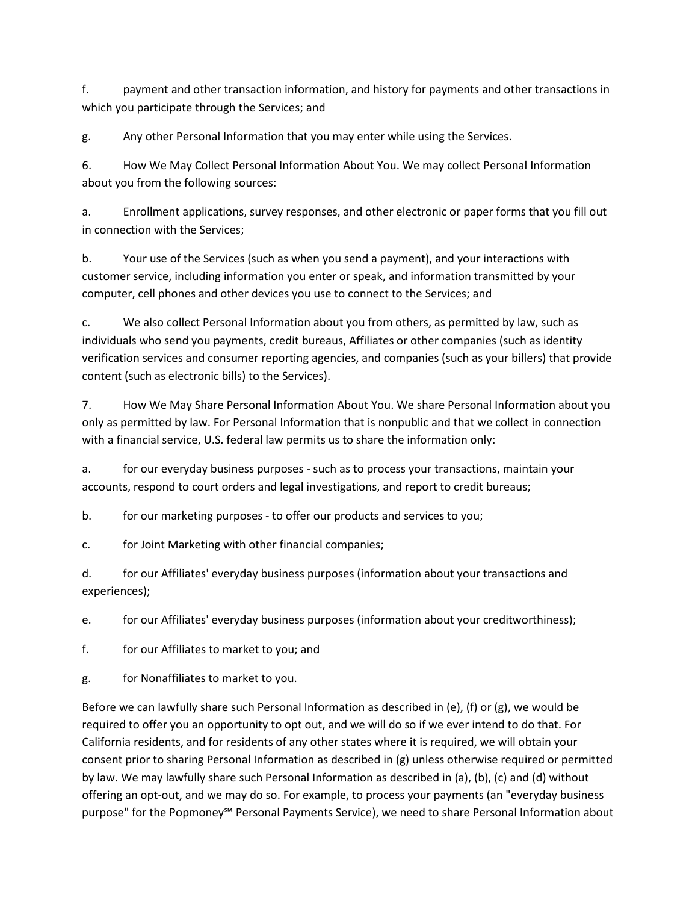f. payment and other transaction information, and history for payments and other transactions in which you participate through the Services; and

g. Any other Personal Information that you may enter while using the Services.

6. How We May Collect Personal Information About You. We may collect Personal Information about you from the following sources:

a. Enrollment applications, survey responses, and other electronic or paper forms that you fill out in connection with the Services;

b. Your use of the Services (such as when you send a payment), and your interactions with customer service, including information you enter or speak, and information transmitted by your computer, cell phones and other devices you use to connect to the Services; and

c. We also collect Personal Information about you from others, as permitted by law, such as individuals who send you payments, credit bureaus, Affiliates or other companies (such as identity verification services and consumer reporting agencies, and companies (such as your billers) that provide content (such as electronic bills) to the Services).

7. How We May Share Personal Information About You. We share Personal Information about you only as permitted by law. For Personal Information that is nonpublic and that we collect in connection with a financial service, U.S. federal law permits us to share the information only:

a. for our everyday business purposes - such as to process your transactions, maintain your accounts, respond to court orders and legal investigations, and report to credit bureaus;

b. for our marketing purposes - to offer our products and services to you;

c. for Joint Marketing with other financial companies;

d. for our Affiliates' everyday business purposes (information about your transactions and experiences);

e. for our Affiliates' everyday business purposes (information about your creditworthiness);

f. for our Affiliates to market to you; and

g. for Nonaffiliates to market to you.

Before we can lawfully share such Personal Information as described in (e), (f) or (g), we would be required to offer you an opportunity to opt out, and we will do so if we ever intend to do that. For California residents, and for residents of any other states where it is required, we will obtain your consent prior to sharing Personal Information as described in (g) unless otherwise required or permitted by law. We may lawfully share such Personal Information as described in (a), (b), (c) and (d) without offering an opt-out, and we may do so. For example, to process your payments (an "everyday business purpose" for the Popmoney<sup>™</sup> Personal Payments Service), we need to share Personal Information about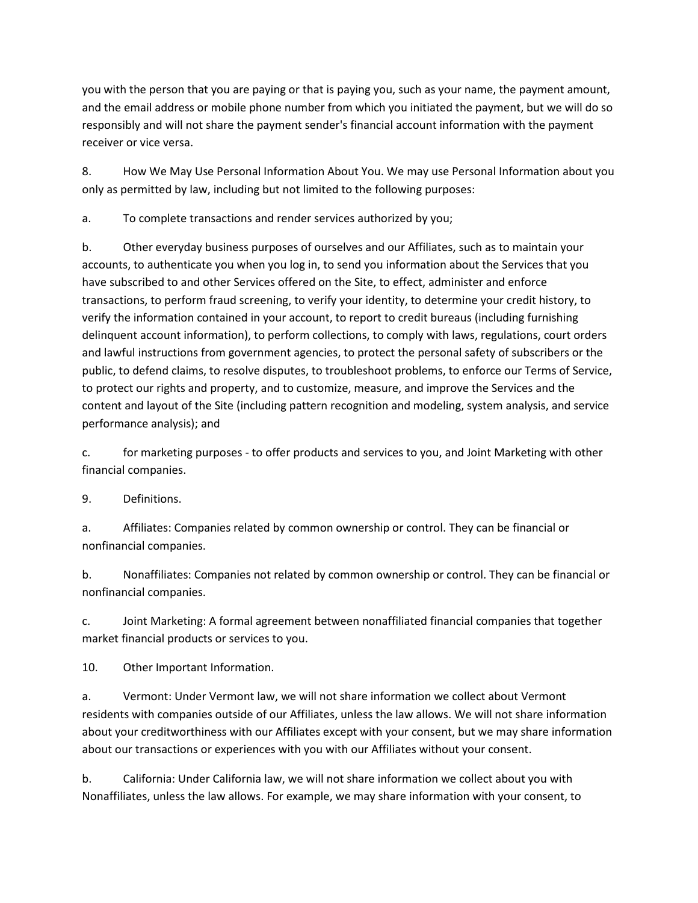you with the person that you are paying or that is paying you, such as your name, the payment amount, and the email address or mobile phone number from which you initiated the payment, but we will do so responsibly and will not share the payment sender's financial account information with the payment receiver or vice versa.

8. How We May Use Personal Information About You. We may use Personal Information about you only as permitted by law, including but not limited to the following purposes:

a. To complete transactions and render services authorized by you;

b. Other everyday business purposes of ourselves and our Affiliates, such as to maintain your accounts, to authenticate you when you log in, to send you information about the Services that you have subscribed to and other Services offered on the Site, to effect, administer and enforce transactions, to perform fraud screening, to verify your identity, to determine your credit history, to verify the information contained in your account, to report to credit bureaus (including furnishing delinquent account information), to perform collections, to comply with laws, regulations, court orders and lawful instructions from government agencies, to protect the personal safety of subscribers or the public, to defend claims, to resolve disputes, to troubleshoot problems, to enforce our Terms of Service, to protect our rights and property, and to customize, measure, and improve the Services and the content and layout of the Site (including pattern recognition and modeling, system analysis, and service performance analysis); and

c. for marketing purposes - to offer products and services to you, and Joint Marketing with other financial companies.

9. Definitions.

a. Affiliates: Companies related by common ownership or control. They can be financial or nonfinancial companies.

b. Nonaffiliates: Companies not related by common ownership or control. They can be financial or nonfinancial companies.

c. Joint Marketing: A formal agreement between nonaffiliated financial companies that together market financial products or services to you.

10. Other Important Information.

a. Vermont: Under Vermont law, we will not share information we collect about Vermont residents with companies outside of our Affiliates, unless the law allows. We will not share information about your creditworthiness with our Affiliates except with your consent, but we may share information about our transactions or experiences with you with our Affiliates without your consent.

b. California: Under California law, we will not share information we collect about you with Nonaffiliates, unless the law allows. For example, we may share information with your consent, to